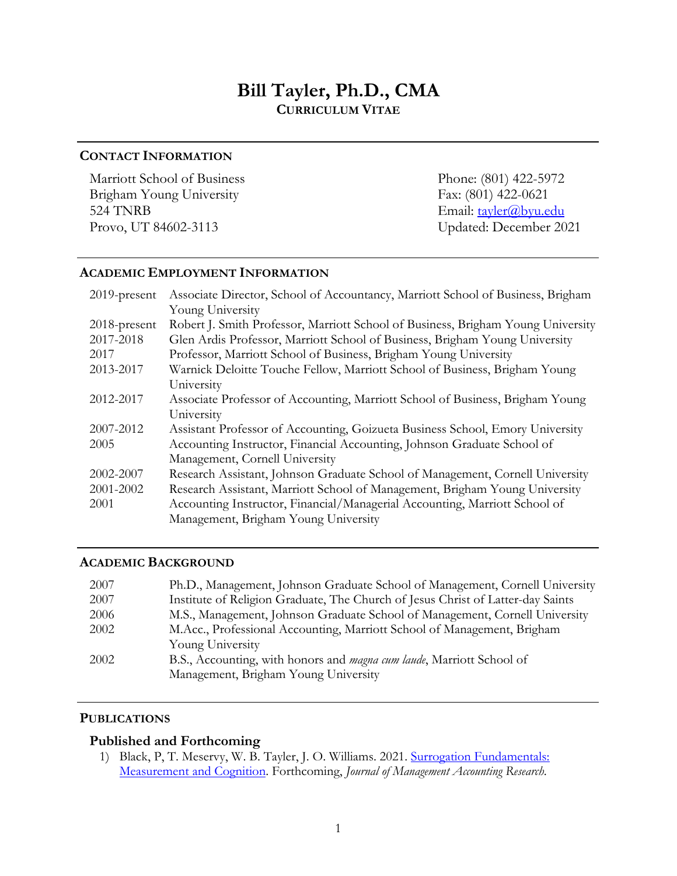# **Bill Tayler, Ph.D., CMA CURRICULUM VITAE**

# **CONTACT INFORMATION**

Marriott School of Business Phone: (801) 422-5972 Brigham Young University Fax: (801) 422-0621 524 TNRB Email: tayler@byu.edu Provo, UT 84602-3113 Updated: December 2021

# **ACADEMIC EMPLOYMENT INFORMATION**

| $2019$ -present | Associate Director, School of Accountancy, Marriott School of Business, Brigham  |
|-----------------|----------------------------------------------------------------------------------|
|                 | Young University                                                                 |
| 2018-present    | Robert J. Smith Professor, Marriott School of Business, Brigham Young University |
| 2017-2018       | Glen Ardis Professor, Marriott School of Business, Brigham Young University      |
| 2017            | Professor, Marriott School of Business, Brigham Young University                 |
| 2013-2017       | Warnick Deloitte Touche Fellow, Marriott School of Business, Brigham Young       |
|                 | University                                                                       |
| 2012-2017       | Associate Professor of Accounting, Marriott School of Business, Brigham Young    |
|                 | University                                                                       |
| 2007-2012       | Assistant Professor of Accounting, Goizueta Business School, Emory University    |
| 2005            | Accounting Instructor, Financial Accounting, Johnson Graduate School of          |
|                 | Management, Cornell University                                                   |
| 2002-2007       | Research Assistant, Johnson Graduate School of Management, Cornell University    |
| 2001-2002       | Research Assistant, Marriott School of Management, Brigham Young University      |
| 2001            | Accounting Instructor, Financial/Managerial Accounting, Marriott School of       |
|                 | Management, Brigham Young University                                             |

# **ACADEMIC BACKGROUND**

| 2007 | Ph.D., Management, Johnson Graduate School of Management, Cornell University    |
|------|---------------------------------------------------------------------------------|
| 2007 | Institute of Religion Graduate, The Church of Jesus Christ of Latter-day Saints |
| 2006 | M.S., Management, Johnson Graduate School of Management, Cornell University     |
| 2002 | M.Acc., Professional Accounting, Marriott School of Management, Brigham         |
|      | Young University                                                                |
| 2002 | B.S., Accounting, with honors and <i>magna cum laude</i> , Marriott School of   |
|      | Management, Brigham Young University                                            |
|      |                                                                                 |

# **PUBLICATIONS**

# **Published and Forthcoming**

1) Black, P, T. Meservy, W. B. Tayler, J. O. Williams. 2021. Surrogation Fundamentals: Measurement and Cognition. Forthcoming, *Journal of Management Accounting Research*.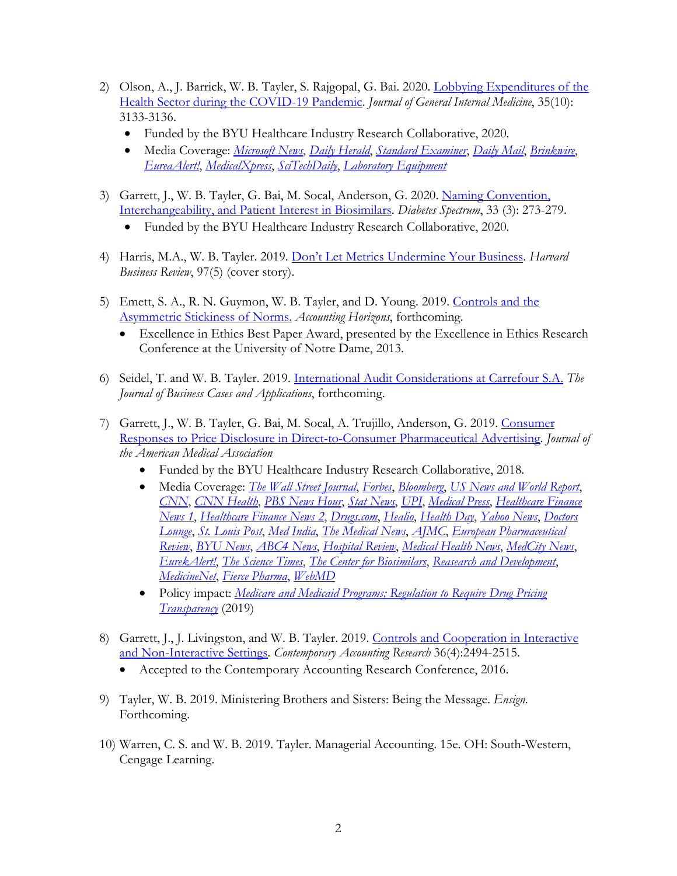- 2) Olson, A., J. Barrick, W. B. Tayler, S. Rajgopal, G. Bai. 2020. Lobbying Expenditures of the Health Sector during the COVID-19 Pandemic. *Journal of General Internal Medicine*, 35(10): 3133-3136.
	- Funded by the BYU Healthcare Industry Research Collaborative, 2020.
	- Media Coverage: *Microsoft News*, *Daily Herald*, *Standard Examiner*, *Daily Mail*, *Brinkwire*, *EureaAlert!*, *MedicalXpress*, *SciTechDaily*, *Laboratory Equipment*
- 3) Garrett, J., W. B. Tayler, G. Bai, M. Socal, Anderson, G. 2020. Naming Convention, Interchangeability, and Patient Interest in Biosimilars. *Diabetes Spectrum*, 33 (3): 273-279.
	- Funded by the BYU Healthcare Industry Research Collaborative, 2020.
- 4) Harris, M.A., W. B. Tayler. 2019. Don't Let Metrics Undermine Your Business. *Harvard Business Review*, 97(5) (cover story).
- 5) Emett, S. A., R. N. Guymon, W. B. Tayler, and D. Young. 2019. Controls and the Asymmetric Stickiness of Norms. *Accounting Horizons*, forthcoming.
	- Excellence in Ethics Best Paper Award, presented by the Excellence in Ethics Research Conference at the University of Notre Dame, 2013.
- 6) Seidel, T. and W. B. Tayler. 2019. International Audit Considerations at Carrefour S.A. *The Journal of Business Cases and Applications*, forthcoming.
- 7) Garrett, J., W. B. Tayler, G. Bai, M. Socal, A. Trujillo, Anderson, G. 2019. Consumer Responses to Price Disclosure in Direct-to-Consumer Pharmaceutical Advertising. *Journal of the American Medical Association*
	- Funded by the BYU Healthcare Industry Research Collaborative, 2018.
	- Media Coverage: *The Wall Street Journal*, *Forbes*, *Bloomberg*, *US News and World Report*, *CNN*, *CNN Health*, *PBS News Hour*, *Stat News*, *UPI*, *Medical Press*, *Healthcare Finance News 1*, *Healthcare Finance News 2*, *Drugs.com*, *Healio*, *Health Day*, *Yahoo News*, *Doctors Lounge*, *St. Louis Post*, *Med India*, *The Medical News*, *AJMC*, *European Pharmaceutical Review*, *BYU News*, *ABC4 News*, *Hospital Review*, *Medical Health News*, *MedCity News*, *EurekAlert!*, *The Science Times*, *The Center for Biosimilars*, *Reasearch and Development*, *MedicineNet*, *Fierce Pharma*, *WebMD*
	- Policy impact: *Medicare and Medicaid Programs; Regulation to Require Drug Pricing Transparency* (2019)
- 8) Garrett, J., J. Livingston, and W. B. Tayler. 2019. Controls and Cooperation in Interactive and Non-Interactive Settings*. Contemporary Accounting Research* 36(4):2494-2515.
	- Accepted to the Contemporary Accounting Research Conference, 2016.
- 9) Tayler, W. B. 2019. Ministering Brothers and Sisters: Being the Message. *Ensign*. Forthcoming.
- 10) Warren, C. S. and W. B. 2019. Tayler. Managerial Accounting. 15e. OH: South-Western, Cengage Learning.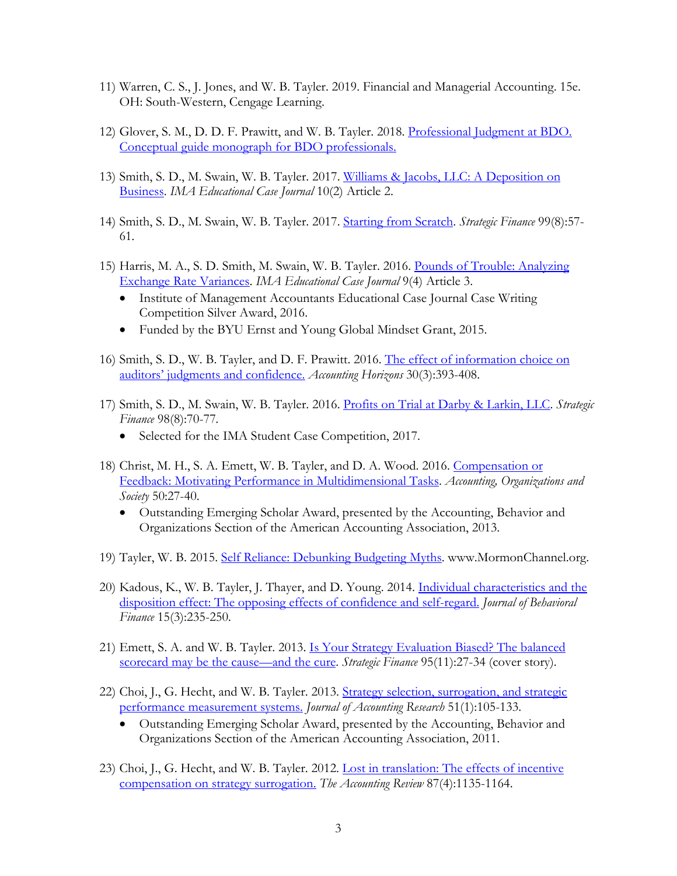- 11) Warren, C. S., J. Jones, and W. B. Tayler. 2019. Financial and Managerial Accounting. 15e. OH: South-Western, Cengage Learning.
- 12) Glover, S. M., D. D. F. Prawitt, and W. B. Tayler. 2018. Professional Judgment at BDO. Conceptual guide monograph for BDO professionals.
- 13) Smith, S. D., M. Swain, W. B. Tayler. 2017. Williams & Jacobs, LLC: A Deposition on Business. *IMA Educational Case Journal* 10(2) Article 2.
- 14) Smith, S. D., M. Swain, W. B. Tayler. 2017. Starting from Scratch. *Strategic Finance* 99(8):57- 61*.*
- 15) Harris, M. A., S. D. Smith, M. Swain, W. B. Tayler. 2016. Pounds of Trouble: Analyzing Exchange Rate Variances. *IMA Educational Case Journal* 9(4) Article 3.
	- Institute of Management Accountants Educational Case Journal Case Writing Competition Silver Award, 2016.
	- Funded by the BYU Ernst and Young Global Mindset Grant, 2015.
- 16) Smith, S. D., W. B. Tayler, and D. F. Prawitt. 2016. The effect of information choice on auditors' judgments and confidence. *Accounting Horizons* 30(3):393-408.
- 17) Smith, S. D., M. Swain, W. B. Tayler. 2016. Profits on Trial at Darby & Larkin, LLC. *Strategic Finance* 98(8):70-77*.*
	- Selected for the IMA Student Case Competition, 2017.
- 18) Christ, M. H., S. A. Emett, W. B. Tayler, and D. A. Wood. 2016. Compensation or Feedback: Motivating Performance in Multidimensional Tasks. *Accounting, Organizations and Society* 50:27-40.
	- Outstanding Emerging Scholar Award, presented by the Accounting, Behavior and Organizations Section of the American Accounting Association, 2013.
- 19) Tayler, W. B. 2015. Self Reliance: Debunking Budgeting Myths. www.MormonChannel.org.
- 20) Kadous, K., W. B. Tayler, J. Thayer, and D. Young. 2014. Individual characteristics and the disposition effect: The opposing effects of confidence and self-regard. *Journal of Behavioral Finance* 15(3):235-250*.*
- 21) Emett, S. A. and W. B. Tayler. 2013. Is Your Strategy Evaluation Biased? The balanced scorecard may be the cause—and the cure. *Strategic Finance* 95(11):27-34 (cover story).
- 22) Choi, J., G. Hecht, and W. B. Tayler. 2013. Strategy selection, surrogation, and strategic performance measurement systems. *Journal of Accounting Research* 51(1):105-133.
	- Outstanding Emerging Scholar Award, presented by the Accounting, Behavior and Organizations Section of the American Accounting Association, 2011.
- 23) Choi, J., G. Hecht, and W. B. Tayler. 2012. Lost in translation: The effects of incentive compensation on strategy surrogation. *The Accounting Review* 87(4):1135-1164.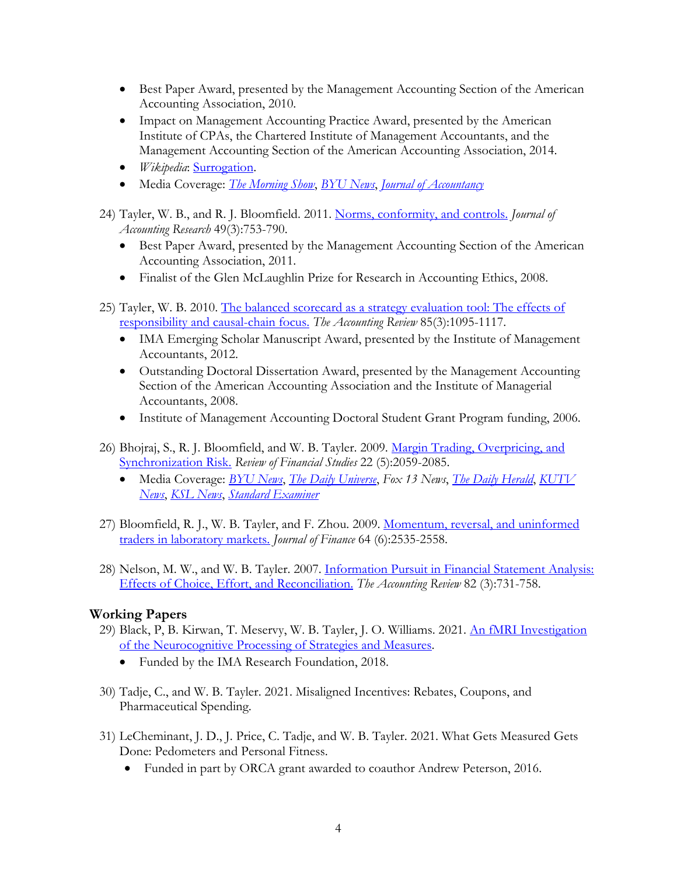- Best Paper Award, presented by the Management Accounting Section of the American Accounting Association, 2010.
- Impact on Management Accounting Practice Award, presented by the American Institute of CPAs, the Chartered Institute of Management Accountants, and the Management Accounting Section of the American Accounting Association, 2014.
- *Wikipedia*: Surrogation.
- Media Coverage: *The Morning Show*, *BYU News*, *Journal of Accountancy*
- 24) Tayler, W. B., and R. J. Bloomfield. 2011. Norms, conformity, and controls. *Journal of Accounting Research* 49(3):753-790.
	- Best Paper Award, presented by the Management Accounting Section of the American Accounting Association, 2011.
	- Finalist of the Glen McLaughlin Prize for Research in Accounting Ethics, 2008.
- 25) Tayler, W. B. 2010. The balanced scorecard as a strategy evaluation tool: The effects of responsibility and causal-chain focus. *The Accounting Review* 85(3):1095-1117.
	- IMA Emerging Scholar Manuscript Award, presented by the Institute of Management Accountants, 2012.
	- Outstanding Doctoral Dissertation Award, presented by the Management Accounting Section of the American Accounting Association and the Institute of Managerial Accountants, 2008.
	- Institute of Management Accounting Doctoral Student Grant Program funding, 2006.
- 26) Bhojraj, S., R. J. Bloomfield, and W. B. Tayler. 2009. Margin Trading, Overpricing, and Synchronization Risk. *Review of Financial Studies* 22 (5):2059-2085.
	- Media Coverage: *BYU News*, *The Daily Universe*, *Fox 13 News*, *The Daily Herald*, *KUTV News*, *KSL News*, *Standard Examiner*
- 27) Bloomfield, R. J., W. B. Tayler, and F. Zhou. 2009. Momentum, reversal, and uninformed traders in laboratory markets. *Journal of Finance* 64 (6):2535-2558.
- 28) Nelson, M. W., and W. B. Tayler. 2007. Information Pursuit in Financial Statement Analysis: Effects of Choice, Effort, and Reconciliation. *The Accounting Review* 82 (3):731-758.

# **Working Papers**

- 29) Black, P, B. Kirwan, T. Meservy, W. B. Tayler, J. O. Williams. 2021. An fMRI Investigation of the Neurocognitive Processing of Strategies and Measures.
	- Funded by the IMA Research Foundation, 2018.
- 30) Tadje, C., and W. B. Tayler. 2021. Misaligned Incentives: Rebates, Coupons, and Pharmaceutical Spending.
- 31) LeCheminant, J. D., J. Price, C. Tadje, and W. B. Tayler. 2021. What Gets Measured Gets Done: Pedometers and Personal Fitness.
	- Funded in part by ORCA grant awarded to coauthor Andrew Peterson, 2016.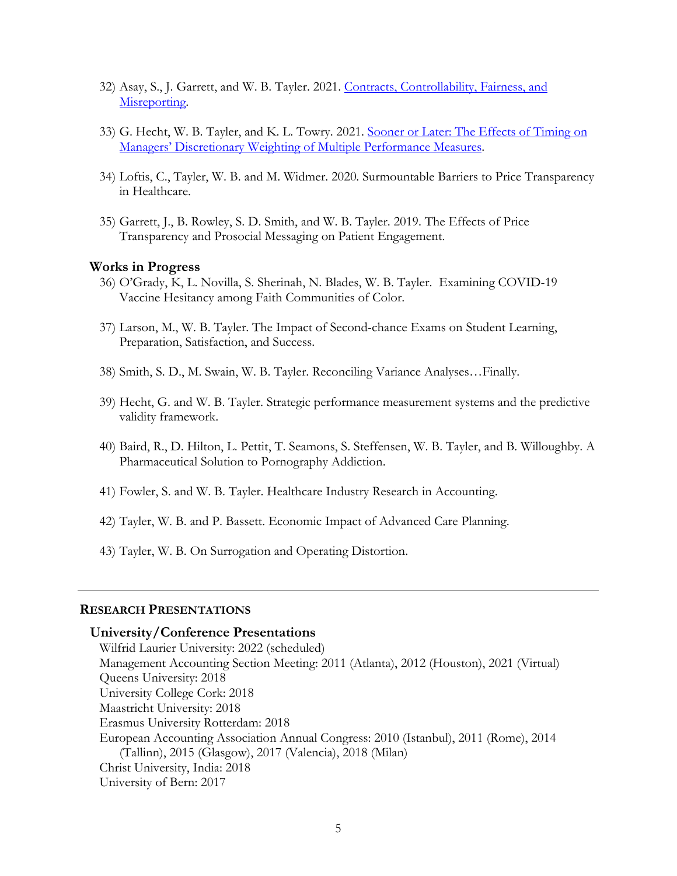- 32) Asay, S., J. Garrett, and W. B. Tayler. 2021. Contracts, Controllability, Fairness, and Misreporting.
- 33) G. Hecht, W. B. Tayler, and K. L. Towry. 2021. Sooner or Later: The Effects of Timing on Managers' Discretionary Weighting of Multiple Performance Measures.
- 34) Loftis, C., Tayler, W. B. and M. Widmer. 2020. Surmountable Barriers to Price Transparency in Healthcare.
- 35) Garrett, J., B. Rowley, S. D. Smith, and W. B. Tayler. 2019. The Effects of Price Transparency and Prosocial Messaging on Patient Engagement.

## **Works in Progress**

- 36) O'Grady, K, L. Novilla, S. Sherinah, N. Blades, W. B. Tayler. Examining COVID-19 Vaccine Hesitancy among Faith Communities of Color.
- 37) Larson, M., W. B. Tayler. The Impact of Second-chance Exams on Student Learning, Preparation, Satisfaction, and Success.
- 38) Smith, S. D., M. Swain, W. B. Tayler. Reconciling Variance Analyses…Finally.
- 39) Hecht, G. and W. B. Tayler. Strategic performance measurement systems and the predictive validity framework.
- 40) Baird, R., D. Hilton, L. Pettit, T. Seamons, S. Steffensen, W. B. Tayler, and B. Willoughby. A Pharmaceutical Solution to Pornography Addiction.
- 41) Fowler, S. and W. B. Tayler. Healthcare Industry Research in Accounting.
- 42) Tayler, W. B. and P. Bassett. Economic Impact of Advanced Care Planning.
- 43) Tayler, W. B. On Surrogation and Operating Distortion.

#### **RESEARCH PRESENTATIONS**

## **University/Conference Presentations**

Wilfrid Laurier University: 2022 (scheduled) Management Accounting Section Meeting: 2011 (Atlanta), 2012 (Houston), 2021 (Virtual) Queens University: 2018 University College Cork: 2018 Maastricht University: 2018 Erasmus University Rotterdam: 2018 European Accounting Association Annual Congress: 2010 (Istanbul), 2011 (Rome), 2014 (Tallinn), 2015 (Glasgow), 2017 (Valencia), 2018 (Milan) Christ University, India: 2018 University of Bern: 2017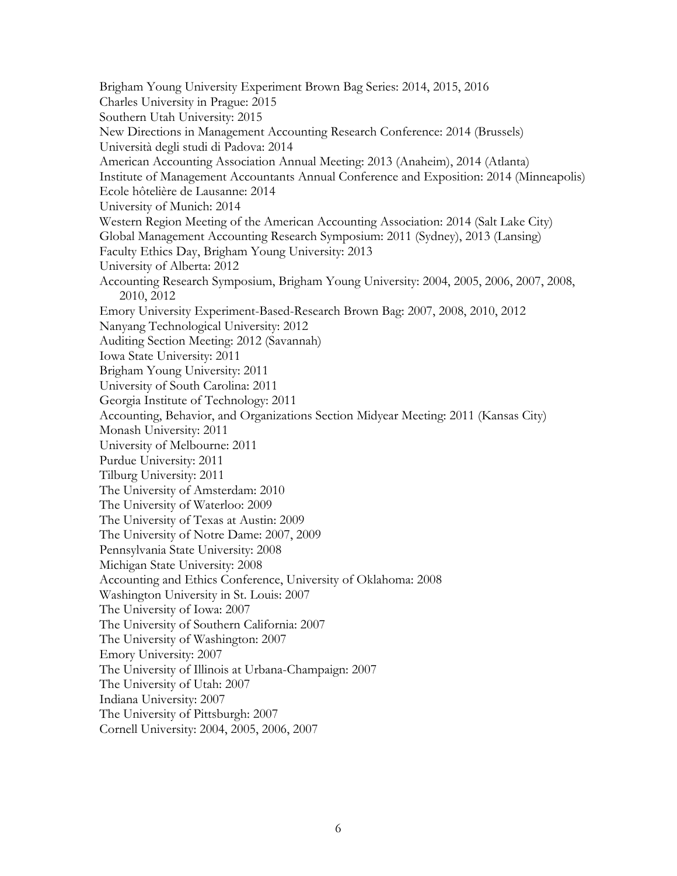Brigham Young University Experiment Brown Bag Series: 2014, 2015, 2016 Charles University in Prague: 2015 Southern Utah University: 2015 New Directions in Management Accounting Research Conference: 2014 (Brussels) Università degli studi di Padova: 2014 American Accounting Association Annual Meeting: 2013 (Anaheim), 2014 (Atlanta) Institute of Management Accountants Annual Conference and Exposition: 2014 (Minneapolis) Ecole hôtelière de Lausanne: 2014 University of Munich: 2014 Western Region Meeting of the American Accounting Association: 2014 (Salt Lake City) Global Management Accounting Research Symposium: 2011 (Sydney), 2013 (Lansing) Faculty Ethics Day, Brigham Young University: 2013 University of Alberta: 2012 Accounting Research Symposium, Brigham Young University: 2004, 2005, 2006, 2007, 2008, 2010, 2012 Emory University Experiment-Based-Research Brown Bag: 2007, 2008, 2010, 2012 Nanyang Technological University: 2012 Auditing Section Meeting: 2012 (Savannah) Iowa State University: 2011 Brigham Young University: 2011 University of South Carolina: 2011 Georgia Institute of Technology: 2011 Accounting, Behavior, and Organizations Section Midyear Meeting: 2011 (Kansas City) Monash University: 2011 University of Melbourne: 2011 Purdue University: 2011 Tilburg University: 2011 The University of Amsterdam: 2010 The University of Waterloo: 2009 The University of Texas at Austin: 2009 The University of Notre Dame: 2007, 2009 Pennsylvania State University: 2008 Michigan State University: 2008 Accounting and Ethics Conference, University of Oklahoma: 2008 Washington University in St. Louis: 2007 The University of Iowa: 2007 The University of Southern California: 2007 The University of Washington: 2007 Emory University: 2007 The University of Illinois at Urbana-Champaign: 2007 The University of Utah: 2007 Indiana University: 2007 The University of Pittsburgh: 2007 Cornell University: 2004, 2005, 2006, 2007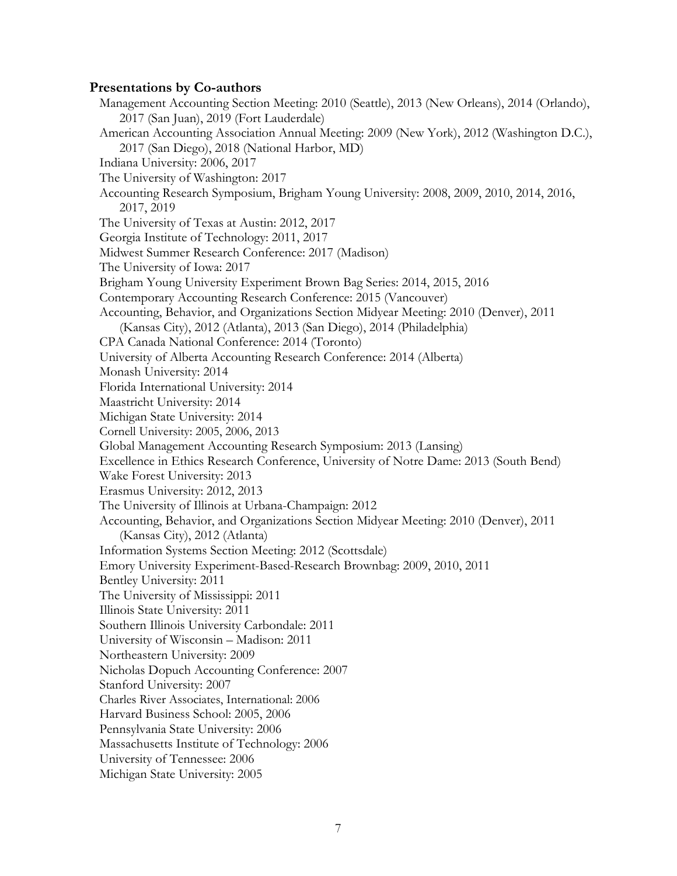# **Presentations by Co-authors**

Management Accounting Section Meeting: 2010 (Seattle), 2013 (New Orleans), 2014 (Orlando), 2017 (San Juan), 2019 (Fort Lauderdale) American Accounting Association Annual Meeting: 2009 (New York), 2012 (Washington D.C.), 2017 (San Diego), 2018 (National Harbor, MD) Indiana University: 2006, 2017 The University of Washington: 2017 Accounting Research Symposium, Brigham Young University: 2008, 2009, 2010, 2014, 2016, 2017, 2019 The University of Texas at Austin: 2012, 2017 Georgia Institute of Technology: 2011, 2017 Midwest Summer Research Conference: 2017 (Madison) The University of Iowa: 2017 Brigham Young University Experiment Brown Bag Series: 2014, 2015, 2016 Contemporary Accounting Research Conference: 2015 (Vancouver) Accounting, Behavior, and Organizations Section Midyear Meeting: 2010 (Denver), 2011 (Kansas City), 2012 (Atlanta), 2013 (San Diego), 2014 (Philadelphia) CPA Canada National Conference: 2014 (Toronto) University of Alberta Accounting Research Conference: 2014 (Alberta) Monash University: 2014 Florida International University: 2014 Maastricht University: 2014 Michigan State University: 2014 Cornell University: 2005, 2006, 2013 Global Management Accounting Research Symposium: 2013 (Lansing) Excellence in Ethics Research Conference, University of Notre Dame: 2013 (South Bend) Wake Forest University: 2013 Erasmus University: 2012, 2013 The University of Illinois at Urbana-Champaign: 2012 Accounting, Behavior, and Organizations Section Midyear Meeting: 2010 (Denver), 2011 (Kansas City), 2012 (Atlanta) Information Systems Section Meeting: 2012 (Scottsdale) Emory University Experiment-Based-Research Brownbag: 2009, 2010, 2011 Bentley University: 2011 The University of Mississippi: 2011 Illinois State University: 2011 Southern Illinois University Carbondale: 2011 University of Wisconsin – Madison: 2011 Northeastern University: 2009 Nicholas Dopuch Accounting Conference: 2007 Stanford University: 2007 Charles River Associates, International: 2006 Harvard Business School: 2005, 2006 Pennsylvania State University: 2006 Massachusetts Institute of Technology: 2006 University of Tennessee: 2006 Michigan State University: 2005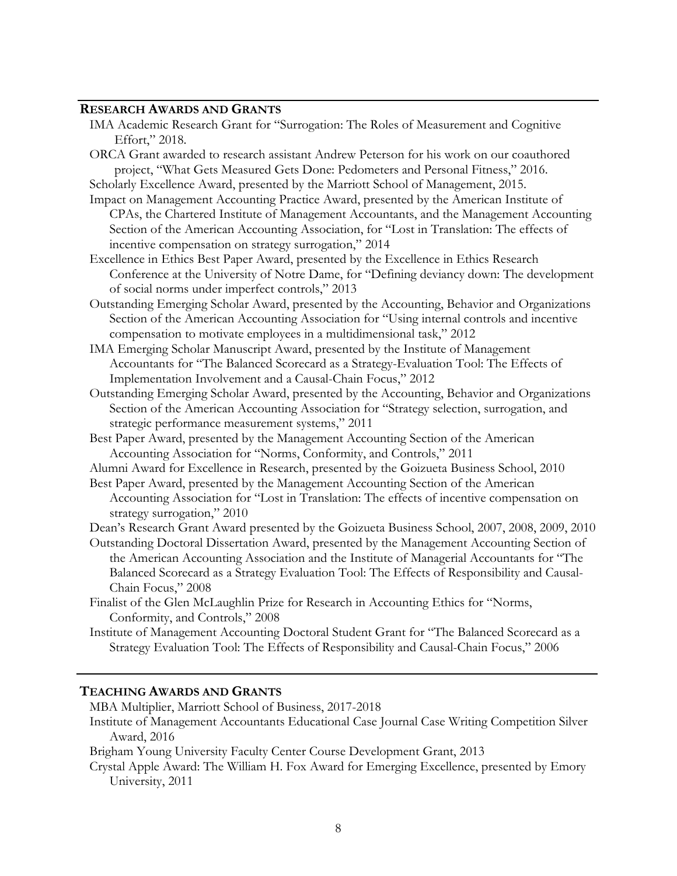## **RESEARCH AWARDS AND GRANTS**

IMA Academic Research Grant for "Surrogation: The Roles of Measurement and Cognitive Effort," 2018.

ORCA Grant awarded to research assistant Andrew Peterson for his work on our coauthored project, "What Gets Measured Gets Done: Pedometers and Personal Fitness," 2016.

Scholarly Excellence Award, presented by the Marriott School of Management, 2015.

- Impact on Management Accounting Practice Award, presented by the American Institute of CPAs, the Chartered Institute of Management Accountants, and the Management Accounting Section of the American Accounting Association, for "Lost in Translation: The effects of incentive compensation on strategy surrogation," 2014
- Excellence in Ethics Best Paper Award, presented by the Excellence in Ethics Research Conference at the University of Notre Dame, for "Defining deviancy down: The development of social norms under imperfect controls," 2013
- Outstanding Emerging Scholar Award, presented by the Accounting, Behavior and Organizations Section of the American Accounting Association for "Using internal controls and incentive compensation to motivate employees in a multidimensional task," 2012
- IMA Emerging Scholar Manuscript Award, presented by the Institute of Management Accountants for "The Balanced Scorecard as a Strategy-Evaluation Tool: The Effects of Implementation Involvement and a Causal-Chain Focus," 2012
- Outstanding Emerging Scholar Award, presented by the Accounting, Behavior and Organizations Section of the American Accounting Association for "Strategy selection, surrogation, and strategic performance measurement systems," 2011
- Best Paper Award, presented by the Management Accounting Section of the American Accounting Association for "Norms, Conformity, and Controls," 2011

Alumni Award for Excellence in Research, presented by the Goizueta Business School, 2010

Best Paper Award, presented by the Management Accounting Section of the American Accounting Association for "Lost in Translation: The effects of incentive compensation on strategy surrogation," 2010

Dean's Research Grant Award presented by the Goizueta Business School, 2007, 2008, 2009, 2010

- Outstanding Doctoral Dissertation Award, presented by the Management Accounting Section of the American Accounting Association and the Institute of Managerial Accountants for "The Balanced Scorecard as a Strategy Evaluation Tool: The Effects of Responsibility and Causal-Chain Focus," 2008
- Finalist of the Glen McLaughlin Prize for Research in Accounting Ethics for "Norms, Conformity, and Controls," 2008
- Institute of Management Accounting Doctoral Student Grant for "The Balanced Scorecard as a Strategy Evaluation Tool: The Effects of Responsibility and Causal-Chain Focus," 2006

## **TEACHING AWARDS AND GRANTS**

MBA Multiplier, Marriott School of Business, 2017-2018

Institute of Management Accountants Educational Case Journal Case Writing Competition Silver Award, 2016

Brigham Young University Faculty Center Course Development Grant, 2013

Crystal Apple Award: The William H. Fox Award for Emerging Excellence, presented by Emory University, 2011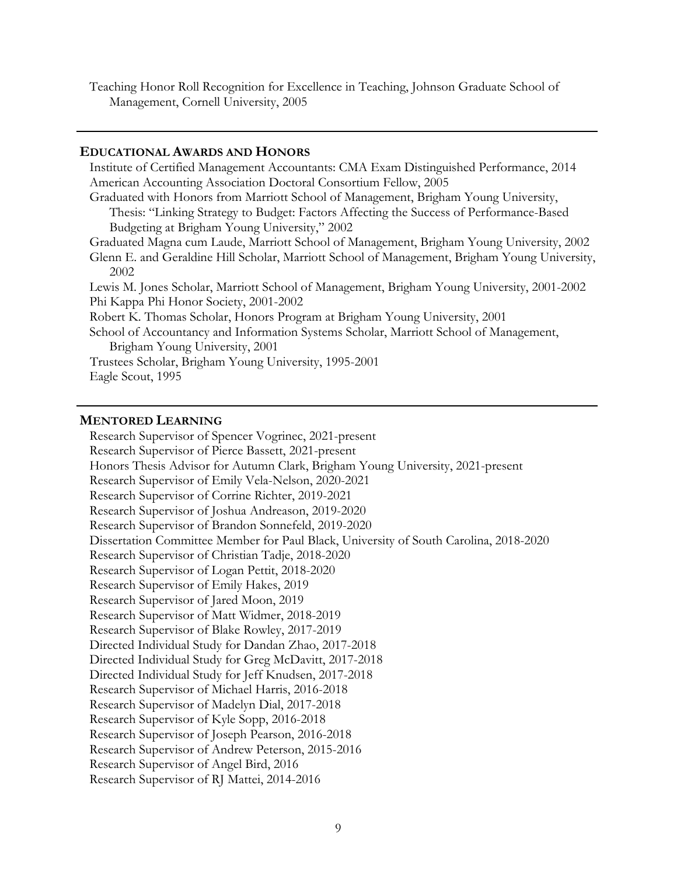Teaching Honor Roll Recognition for Excellence in Teaching, Johnson Graduate School of Management, Cornell University, 2005

## **EDUCATIONAL AWARDS AND HONORS**

Institute of Certified Management Accountants: CMA Exam Distinguished Performance, 2014 American Accounting Association Doctoral Consortium Fellow, 2005 Graduated with Honors from Marriott School of Management, Brigham Young University, Thesis: "Linking Strategy to Budget: Factors Affecting the Success of Performance-Based Budgeting at Brigham Young University," 2002 Graduated Magna cum Laude, Marriott School of Management, Brigham Young University, 2002 Glenn E. and Geraldine Hill Scholar, Marriott School of Management, Brigham Young University, 2002 Lewis M. Jones Scholar, Marriott School of Management, Brigham Young University, 2001-2002 Phi Kappa Phi Honor Society, 2001-2002 Robert K. Thomas Scholar, Honors Program at Brigham Young University, 2001 School of Accountancy and Information Systems Scholar, Marriott School of Management, Brigham Young University, 2001 Trustees Scholar, Brigham Young University, 1995-2001 Eagle Scout, 1995

## **MENTORED LEARNING**

Research Supervisor of Spencer Vogrinec, 2021-present Research Supervisor of Pierce Bassett, 2021-present Honors Thesis Advisor for Autumn Clark, Brigham Young University, 2021-present Research Supervisor of Emily Vela-Nelson, 2020-2021 Research Supervisor of Corrine Richter, 2019-2021 Research Supervisor of Joshua Andreason, 2019-2020 Research Supervisor of Brandon Sonnefeld, 2019-2020 Dissertation Committee Member for Paul Black, University of South Carolina, 2018-2020 Research Supervisor of Christian Tadje, 2018-2020 Research Supervisor of Logan Pettit, 2018-2020 Research Supervisor of Emily Hakes, 2019 Research Supervisor of Jared Moon, 2019 Research Supervisor of Matt Widmer, 2018-2019 Research Supervisor of Blake Rowley, 2017-2019 Directed Individual Study for Dandan Zhao, 2017-2018 Directed Individual Study for Greg McDavitt, 2017-2018 Directed Individual Study for Jeff Knudsen, 2017-2018 Research Supervisor of Michael Harris, 2016-2018 Research Supervisor of Madelyn Dial, 2017-2018 Research Supervisor of Kyle Sopp, 2016-2018 Research Supervisor of Joseph Pearson, 2016-2018 Research Supervisor of Andrew Peterson, 2015-2016 Research Supervisor of Angel Bird, 2016 Research Supervisor of RJ Mattei, 2014-2016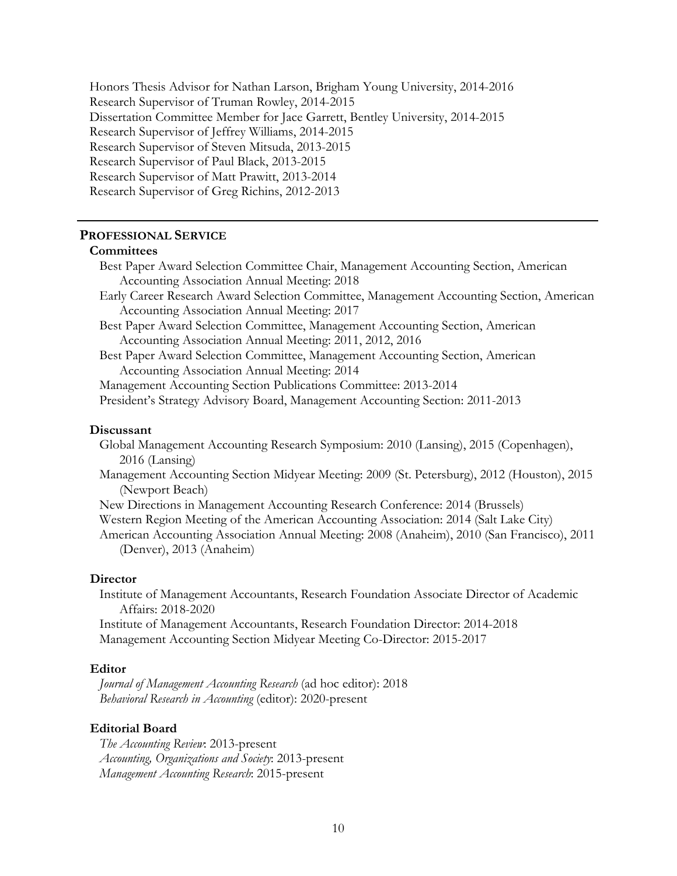Honors Thesis Advisor for Nathan Larson, Brigham Young University, 2014-2016 Research Supervisor of Truman Rowley, 2014-2015 Dissertation Committee Member for Jace Garrett, Bentley University, 2014-2015 Research Supervisor of Jeffrey Williams, 2014-2015 Research Supervisor of Steven Mitsuda, 2013-2015 Research Supervisor of Paul Black, 2013-2015 Research Supervisor of Matt Prawitt, 2013-2014 Research Supervisor of Greg Richins, 2012-2013

## **PROFESSIONAL SERVICE**

#### **Committees**

| Best Paper Award Selection Committee Chair, Management Accounting Section, American        |  |
|--------------------------------------------------------------------------------------------|--|
| Accounting Association Annual Meeting: 2018                                                |  |
| Early Career Research Award Selection Committee, Management Accounting Section, American   |  |
| Accounting Association Annual Meeting: 2017                                                |  |
| Best Paper Award Selection Committee, Management Accounting Section, American              |  |
| Accounting Association Annual Meeting: 2011, 2012, 2016                                    |  |
| Best Paper Award Selection Committee, Management Accounting Section, American              |  |
| Accounting Association Annual Meeting: 2014                                                |  |
| Management Accounting Section Publications Committee: 2013-2014                            |  |
| President's Strategy Advisory Board, Management Accounting Section: 2011-2013              |  |
| Discussant                                                                                 |  |
| Global Management Accounting Research Symposium: 2010 (Lansing), 2015 (Copenhagen),        |  |
| $2016$ (Lansing)                                                                           |  |
| Management Accounting Section Midyear Meeting: 2009 (St. Petersburg), 2012 (Houston), 2015 |  |
| (Newport Beach)                                                                            |  |

New Directions in Management Accounting Research Conference: 2014 (Brussels)

Western Region Meeting of the American Accounting Association: 2014 (Salt Lake City)

American Accounting Association Annual Meeting: 2008 (Anaheim), 2010 (San Francisco), 2011 (Denver), 2013 (Anaheim)

## **Director**

Institute of Management Accountants, Research Foundation Associate Director of Academic Affairs: 2018-2020 Institute of Management Accountants, Research Foundation Director: 2014-2018 Management Accounting Section Midyear Meeting Co-Director: 2015-2017

#### **Editor**

*Journal of Management Accounting Research* (ad hoc editor): 2018 *Behavioral Research in Accounting* (editor): 2020-present

#### **Editorial Board**

*The Accounting Review*: 2013-present *Accounting, Organizations and Society*: 2013-present *Management Accounting Research*: 2015-present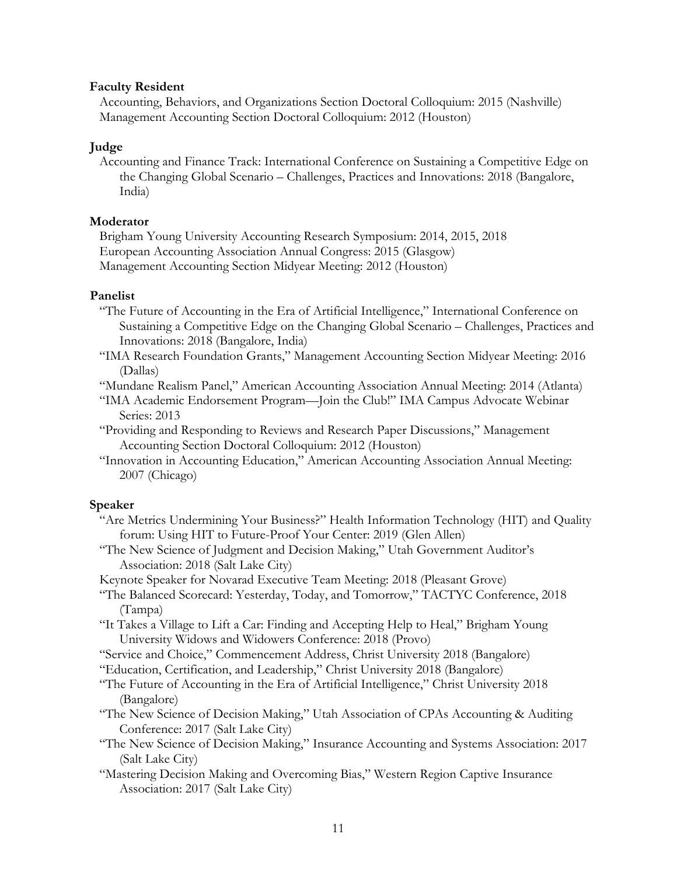## **Faculty Resident**

Accounting, Behaviors, and Organizations Section Doctoral Colloquium: 2015 (Nashville) Management Accounting Section Doctoral Colloquium: 2012 (Houston)

## **Judge**

Accounting and Finance Track: International Conference on Sustaining a Competitive Edge on the Changing Global Scenario – Challenges, Practices and Innovations: 2018 (Bangalore, India)

## **Moderator**

Brigham Young University Accounting Research Symposium: 2014, 2015, 2018 European Accounting Association Annual Congress: 2015 (Glasgow) Management Accounting Section Midyear Meeting: 2012 (Houston)

## **Panelist**

- "The Future of Accounting in the Era of Artificial Intelligence," International Conference on Sustaining a Competitive Edge on the Changing Global Scenario – Challenges, Practices and Innovations: 2018 (Bangalore, India)
- "IMA Research Foundation Grants," Management Accounting Section Midyear Meeting: 2016 (Dallas)
- "Mundane Realism Panel," American Accounting Association Annual Meeting: 2014 (Atlanta)
- "IMA Academic Endorsement Program—Join the Club!" IMA Campus Advocate Webinar Series: 2013
- "Providing and Responding to Reviews and Research Paper Discussions," Management Accounting Section Doctoral Colloquium: 2012 (Houston)
- "Innovation in Accounting Education," American Accounting Association Annual Meeting: 2007 (Chicago)

## **Speaker**

- "Are Metrics Undermining Your Business?" Health Information Technology (HIT) and Quality forum: Using HIT to Future-Proof Your Center: 2019 (Glen Allen)
- "The New Science of Judgment and Decision Making," Utah Government Auditor's Association: 2018 (Salt Lake City)
- Keynote Speaker for Novarad Executive Team Meeting: 2018 (Pleasant Grove)
- "The Balanced Scorecard: Yesterday, Today, and Tomorrow," TACTYC Conference, 2018 (Tampa)
- "It Takes a Village to Lift a Car: Finding and Accepting Help to Heal," Brigham Young University Widows and Widowers Conference: 2018 (Provo)
- "Service and Choice," Commencement Address, Christ University 2018 (Bangalore)
- "Education, Certification, and Leadership," Christ University 2018 (Bangalore)
- "The Future of Accounting in the Era of Artificial Intelligence," Christ University 2018 (Bangalore)
- "The New Science of Decision Making," Utah Association of CPAs Accounting & Auditing Conference: 2017 (Salt Lake City)
- "The New Science of Decision Making," Insurance Accounting and Systems Association: 2017 (Salt Lake City)
- "Mastering Decision Making and Overcoming Bias," Western Region Captive Insurance Association: 2017 (Salt Lake City)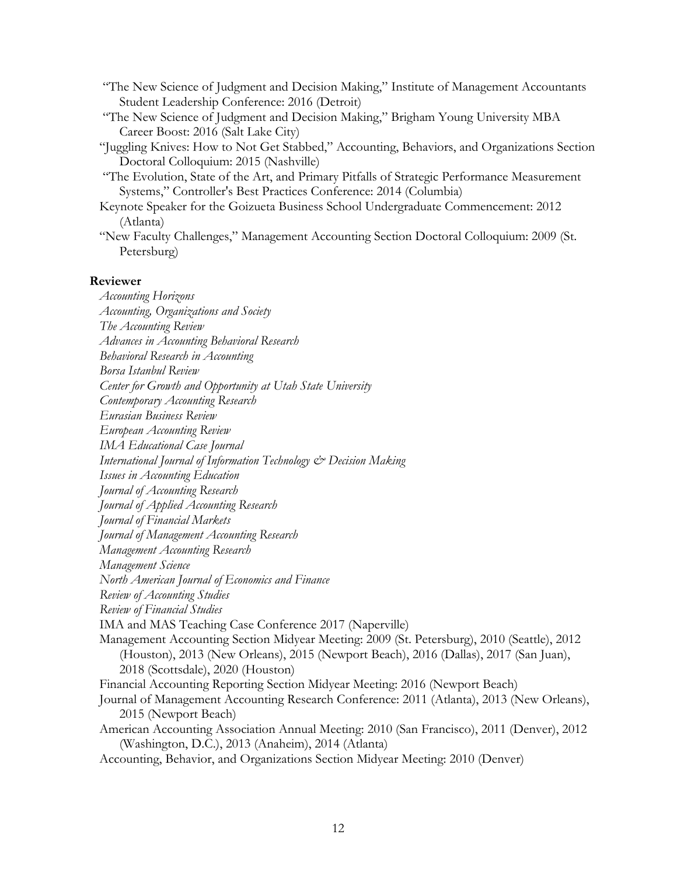"The New Science of Judgment and Decision Making," Institute of Management Accountants Student Leadership Conference: 2016 (Detroit)

 "The New Science of Judgment and Decision Making," Brigham Young University MBA Career Boost: 2016 (Salt Lake City)

"Juggling Knives: How to Not Get Stabbed," Accounting, Behaviors, and Organizations Section Doctoral Colloquium: 2015 (Nashville)

 "The Evolution, State of the Art, and Primary Pitfalls of Strategic Performance Measurement Systems," Controller's Best Practices Conference: 2014 (Columbia)

Keynote Speaker for the Goizueta Business School Undergraduate Commencement: 2012 (Atlanta)

"New Faculty Challenges," Management Accounting Section Doctoral Colloquium: 2009 (St. Petersburg)

## **Reviewer**

*Accounting Horizons Accounting, Organizations and Society The Accounting Review Advances in Accounting Behavioral Research Behavioral Research in Accounting Borsa Istanbul Review Center for Growth and Opportunity at Utah State University Contemporary Accounting Research Eurasian Business Review European Accounting Review IMA Educational Case Journal International Journal of Information Technology & Decision Making Issues in Accounting Education Journal of Accounting Research Journal of Applied Accounting Research Journal of Financial Markets Journal of Management Accounting Research Management Accounting Research Management Science North American Journal of Economics and Finance Review of Accounting Studies Review of Financial Studies* IMA and MAS Teaching Case Conference 2017 (Naperville) Management Accounting Section Midyear Meeting: 2009 (St. Petersburg), 2010 (Seattle), 2012 (Houston), 2013 (New Orleans), 2015 (Newport Beach), 2016 (Dallas), 2017 (San Juan), 2018 (Scottsdale), 2020 (Houston) Financial Accounting Reporting Section Midyear Meeting: 2016 (Newport Beach) Journal of Management Accounting Research Conference: 2011 (Atlanta), 2013 (New Orleans), 2015 (Newport Beach) American Accounting Association Annual Meeting: 2010 (San Francisco), 2011 (Denver), 2012 (Washington, D.C.), 2013 (Anaheim), 2014 (Atlanta) Accounting, Behavior, and Organizations Section Midyear Meeting: 2010 (Denver)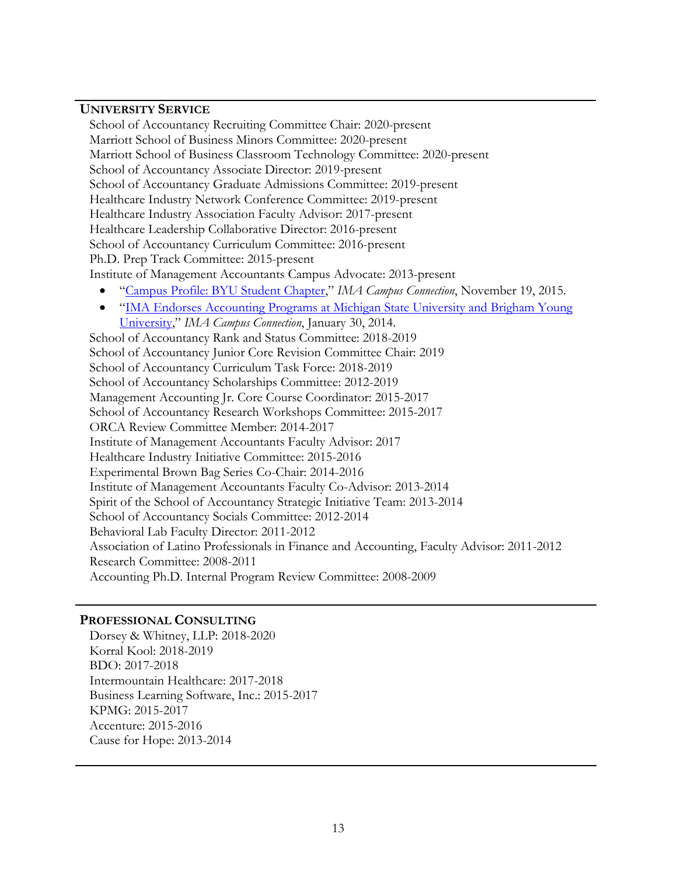# **UNIVERSITY SERVICE**

School of Accountancy Recruiting Committee Chair: 2020-present Marriott School of Business Minors Committee: 2020-present Marriott School of Business Classroom Technology Committee: 2020-present School of Accountancy Associate Director: 2019-present School of Accountancy Graduate Admissions Committee: 2019-present Healthcare Industry Network Conference Committee: 2019-present Healthcare Industry Association Faculty Advisor: 2017-present Healthcare Leadership Collaborative Director: 2016-present School of Accountancy Curriculum Committee: 2016-present Ph.D. Prep Track Committee: 2015-present Institute of Management Accountants Campus Advocate: 2013-present

- "Campus Profile: BYU Student Chapter," *IMA Campus Connection*, November 19, 2015.
- "IMA Endorses Accounting Programs at Michigan State University and Brigham Young University," *IMA Campus Connection*, January 30, 2014. School of Accountancy Rank and Status Committee: 2018-2019 School of Accountancy Junior Core Revision Committee Chair: 2019 School of Accountancy Curriculum Task Force: 2018-2019 School of Accountancy Scholarships Committee: 2012-2019 Management Accounting Jr. Core Course Coordinator: 2015-2017 School of Accountancy Research Workshops Committee: 2015-2017 ORCA Review Committee Member: 2014-2017 Institute of Management Accountants Faculty Advisor: 2017 Healthcare Industry Initiative Committee: 2015-2016 Experimental Brown Bag Series Co-Chair: 2014-2016 Institute of Management Accountants Faculty Co-Advisor: 2013-2014 Spirit of the School of Accountancy Strategic Initiative Team: 2013-2014 School of Accountancy Socials Committee: 2012-2014 Behavioral Lab Faculty Director: 2011-2012 Association of Latino Professionals in Finance and Accounting, Faculty Advisor: 2011-2012 Research Committee: 2008-2011 Accounting Ph.D. Internal Program Review Committee: 2008-2009

## **PROFESSIONAL CONSULTING**

Dorsey & Whitney, LLP: 2018-2020 Korral Kool: 2018-2019 BDO: 2017-2018 Intermountain Healthcare: 2017-2018 Business Learning Software, Inc.: 2015-2017 KPMG: 2015-2017 Accenture: 2015-2016 Cause for Hope: 2013-2014